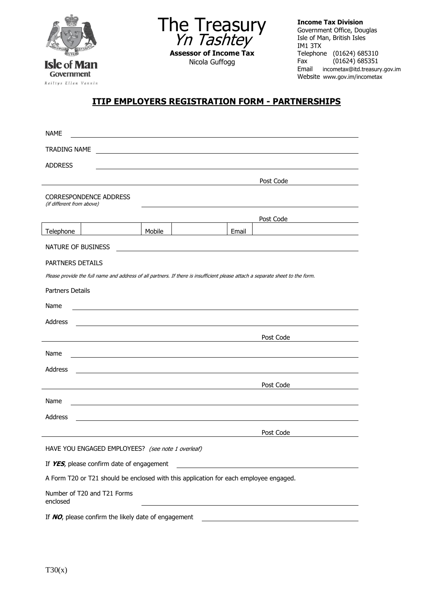

The Treasury Yn Tashtey **Assessor of Income Tax** Nicola Guffogg

**Income Tax Division** Government Office, Douglas Isle of Man, British Isles IM1 3TX Telephone (01624) 685310<br>Fax (01624) 685351  $(01624)$  685351 Email incometax@itd.treasury.gov.im Website www.gov.im/incometax

## **ITIP EMPLOYERS REGISTRATION FORM - PARTNERSHIPS**

| <b>NAME</b>                                                                                                                    |        |       |           |  |  |  |  |
|--------------------------------------------------------------------------------------------------------------------------------|--------|-------|-----------|--|--|--|--|
| TRADING NAME                                                                                                                   |        |       |           |  |  |  |  |
| <b>ADDRESS</b>                                                                                                                 |        |       |           |  |  |  |  |
|                                                                                                                                |        |       | Post Code |  |  |  |  |
| CORRESPONDENCE ADDRESS<br>(if different from above)                                                                            |        |       |           |  |  |  |  |
|                                                                                                                                |        |       | Post Code |  |  |  |  |
| Telephone                                                                                                                      | Mobile | Email |           |  |  |  |  |
| NATURE OF BUSINESS                                                                                                             |        |       |           |  |  |  |  |
| PARTNERS DETAILS                                                                                                               |        |       |           |  |  |  |  |
| Please provide the full name and address of all partners. If there is insufficient please attach a separate sheet to the form. |        |       |           |  |  |  |  |
| Partners Details                                                                                                               |        |       |           |  |  |  |  |
| Name                                                                                                                           |        |       |           |  |  |  |  |
| Address                                                                                                                        |        |       |           |  |  |  |  |
|                                                                                                                                |        |       | Post Code |  |  |  |  |
| Name                                                                                                                           |        |       |           |  |  |  |  |
| Address                                                                                                                        |        |       |           |  |  |  |  |
|                                                                                                                                |        |       | Post Code |  |  |  |  |
| Name                                                                                                                           |        |       |           |  |  |  |  |
| <b>Address</b>                                                                                                                 |        |       |           |  |  |  |  |
|                                                                                                                                |        |       |           |  |  |  |  |
|                                                                                                                                |        |       | Post Code |  |  |  |  |
| HAVE YOU ENGAGED EMPLOYEES? (see note 1 overleaf)                                                                              |        |       |           |  |  |  |  |
| If YES, please confirm date of engagement                                                                                      |        |       |           |  |  |  |  |
| A Form T20 or T21 should be enclosed with this application for each employee engaged.                                          |        |       |           |  |  |  |  |
| Number of T20 and T21 Forms<br>enclosed                                                                                        |        |       |           |  |  |  |  |
| If NO, please confirm the likely date of engagement                                                                            |        |       |           |  |  |  |  |